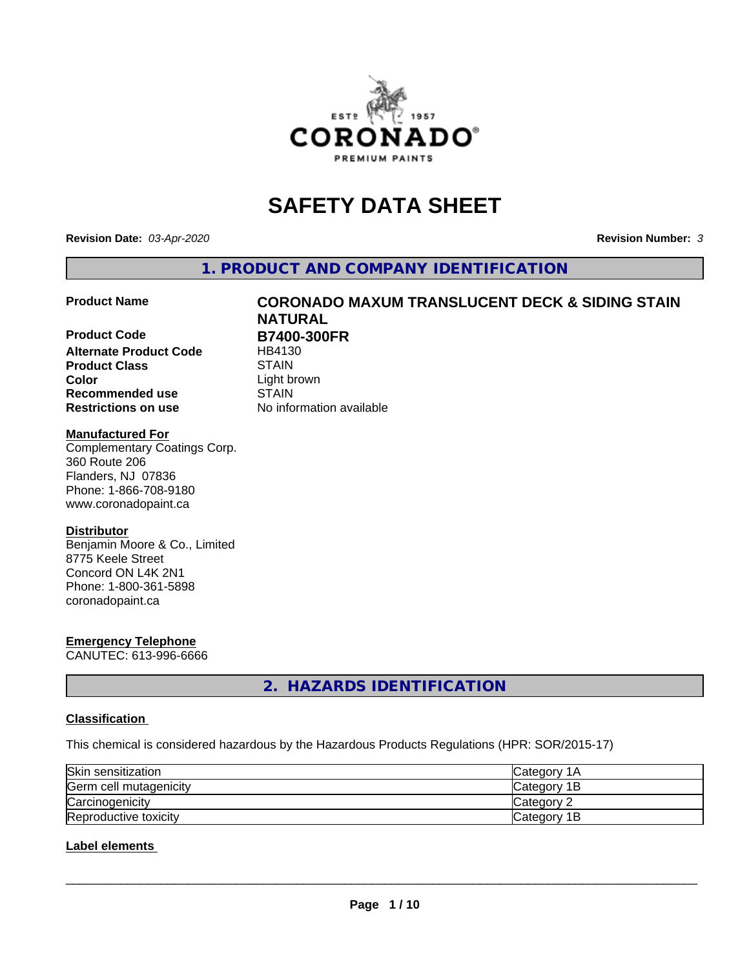

# **SAFETY DATA SHEET**

**Revision Date:** *03-Apr-2020* **Revision Number:** *3*

**1. PRODUCT AND COMPANY IDENTIFICATION**

**Product Code B7400-300FR**<br>Alternate Product Code HB4130 **Alternate Product Code Product Class** STAIN<br> **Color** Light b **Recommended use STAIN Restrictions on use** No information available

# **Product Name CORONADO MAXUM TRANSLUCENT DECK & SIDING STAIN NATURAL** Light brown

#### **Manufactured For**

Complementary Coatings Corp. 360 Route 206 Flanders, NJ 07836 Phone: 1-866-708-9180 www.coronadopaint.ca

#### **Distributor**

Benjamin Moore & Co., Limited 8775 Keele Street Concord ON L4K 2N1 Phone: 1-800-361-5898 coronadopaint.ca

# **Emergency Telephone**

CANUTEC: 613-996-6666

**2. HAZARDS IDENTIFICATION**

# **Classification**

This chemical is considered hazardous by the Hazardous Products Regulations (HPR: SOR/2015-17)

| Skin sensitization     | lCategorv 1A |
|------------------------|--------------|
| Germ cell mutagenicity | Category 1B  |
| Carcinogenicity        | Category 2   |
| Reproductive toxicity  | Category 1B  |

# **Label elements**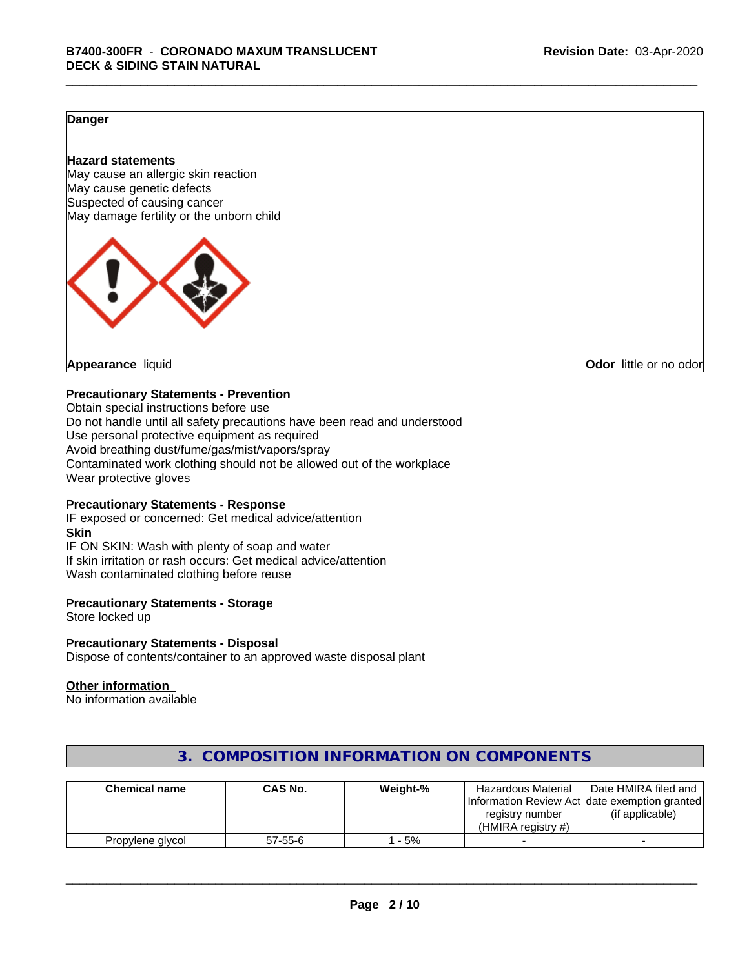# **Danger**

#### **Hazard statements**

May cause an allergic skin reaction May cause genetic defects Suspected of causing cancer May damage fertility or the unborn child



**Appearance** liquid **CODO** *Appearance liquid* **Odor** *CODO CODO* **<b>***CODO CODO CODO CODO CODO* 

#### **Precautionary Statements - Prevention**

Obtain special instructions before use Do not handle until all safety precautions have been read and understood Use personal protective equipment as required Avoid breathing dust/fume/gas/mist/vapors/spray Contaminated work clothing should not be allowed out of the workplace Wear protective gloves

### **Precautionary Statements - Response**

IF exposed or concerned: Get medical advice/attention **Skin** IF ON SKIN: Wash with plenty of soap and water If skin irritation or rash occurs: Get medical advice/attention Wash contaminated clothing before reuse

#### **Precautionary Statements - Storage**

Store locked up

#### **Precautionary Statements - Disposal**

Dispose of contents/container to an approved waste disposal plant

#### **Other information**

No information available

| <b>Chemical name</b> | CAS No.       | Weight-% | <b>Hazardous Material</b><br>registry number<br>(HMIRA reaistry #) | Date HMIRA filed and<br>Information Review Act Idate exemption granted<br>(if applicable) |
|----------------------|---------------|----------|--------------------------------------------------------------------|-------------------------------------------------------------------------------------------|
| Propylene glycol     | $57 - 55 - 6$ | - 5%     |                                                                    |                                                                                           |

# **3. COMPOSITION INFORMATION ON COMPONENTS**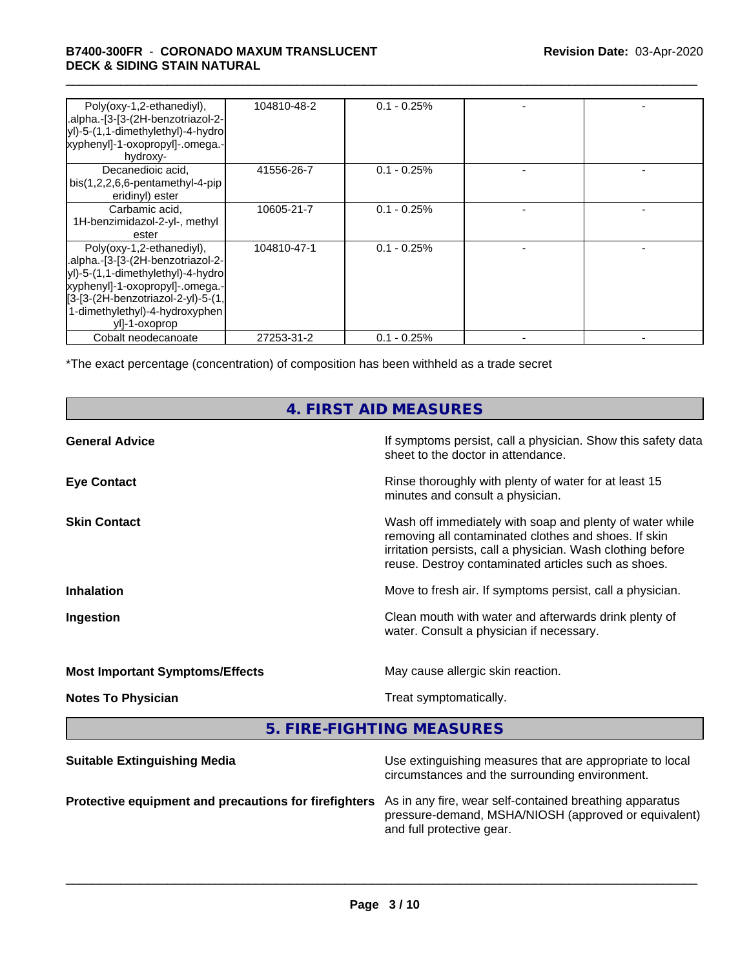### \_\_\_\_\_\_\_\_\_\_\_\_\_\_\_\_\_\_\_\_\_\_\_\_\_\_\_\_\_\_\_\_\_\_\_\_\_\_\_\_\_\_\_\_\_\_\_\_\_\_\_\_\_\_\_\_\_\_\_\_\_\_\_\_\_\_\_\_\_\_\_\_\_\_\_\_\_\_\_\_\_\_\_\_\_\_\_\_\_\_\_\_\_ **B7400-300FR** - **CORONADO MAXUM TRANSLUCENT DECK & SIDING STAIN NATURAL**

| Poly(oxy-1,2-ethanediyl),<br>.alpha.-[3-[3-(2H-benzotriazol-2-<br>yl)-5-(1,1-dimethylethyl)-4-hydro<br>xyphenyl]-1-oxopropyl]-.omega.-<br>hydroxy-                                                                              | 104810-48-2 | $0.1 - 0.25%$ |  |
|---------------------------------------------------------------------------------------------------------------------------------------------------------------------------------------------------------------------------------|-------------|---------------|--|
| Decanedioic acid,<br>$bis(1,2,2,6,6-pentamentlyl-4-pip)$<br>eridinyl) ester                                                                                                                                                     | 41556-26-7  | $0.1 - 0.25%$ |  |
| Carbamic acid,<br>1H-benzimidazol-2-yl-, methyl<br>ester                                                                                                                                                                        | 10605-21-7  | $0.1 - 0.25%$ |  |
| Poly(oxy-1,2-ethanediyl),<br>.alpha.-[3-[3-(2H-benzotriazol-2-<br>yl)-5-(1,1-dimethylethyl)-4-hydro<br>xyphenyl]-1-oxopropyl]-.omega.-<br>[3-[3-(2H-benzotriazol-2-yl)-5-(1,<br>1-dimethylethyl)-4-hydroxyphen<br>yll-1-oxoprop | 104810-47-1 | $0.1 - 0.25%$ |  |
| Cobalt neodecanoate                                                                                                                                                                                                             | 27253-31-2  | $0.1 - 0.25%$ |  |

\*The exact percentage (concentration) of composition has been withheld as a trade secret

# **4. FIRST AID MEASURES**

| <b>General Advice</b>                  | If symptoms persist, call a physician. Show this safety data<br>sheet to the doctor in attendance.                                                                                                                                     |
|----------------------------------------|----------------------------------------------------------------------------------------------------------------------------------------------------------------------------------------------------------------------------------------|
| <b>Eye Contact</b>                     | Rinse thoroughly with plenty of water for at least 15<br>minutes and consult a physician.                                                                                                                                              |
| <b>Skin Contact</b>                    | Wash off immediately with soap and plenty of water while<br>removing all contaminated clothes and shoes. If skin<br>irritation persists, call a physician. Wash clothing before<br>reuse. Destroy contaminated articles such as shoes. |
| <b>Inhalation</b>                      | Move to fresh air. If symptoms persist, call a physician.                                                                                                                                                                              |
| Ingestion                              | Clean mouth with water and afterwards drink plenty of<br>water. Consult a physician if necessary.                                                                                                                                      |
| <b>Most Important Symptoms/Effects</b> | May cause allergic skin reaction.                                                                                                                                                                                                      |
| <b>Notes To Physician</b>              | Treat symptomatically.                                                                                                                                                                                                                 |
|                                        |                                                                                                                                                                                                                                        |

**5. FIRE-FIGHTING MEASURES**

| <b>Suitable Extinguishing Media</b>                                                                           | Use extinguishing measures that are appropriate to local<br>circumstances and the surrounding environment. |
|---------------------------------------------------------------------------------------------------------------|------------------------------------------------------------------------------------------------------------|
| Protective equipment and precautions for firefighters As in any fire, wear self-contained breathing apparatus | pressure-demand, MSHA/NIOSH (approved or equivalent)<br>and full protective gear.                          |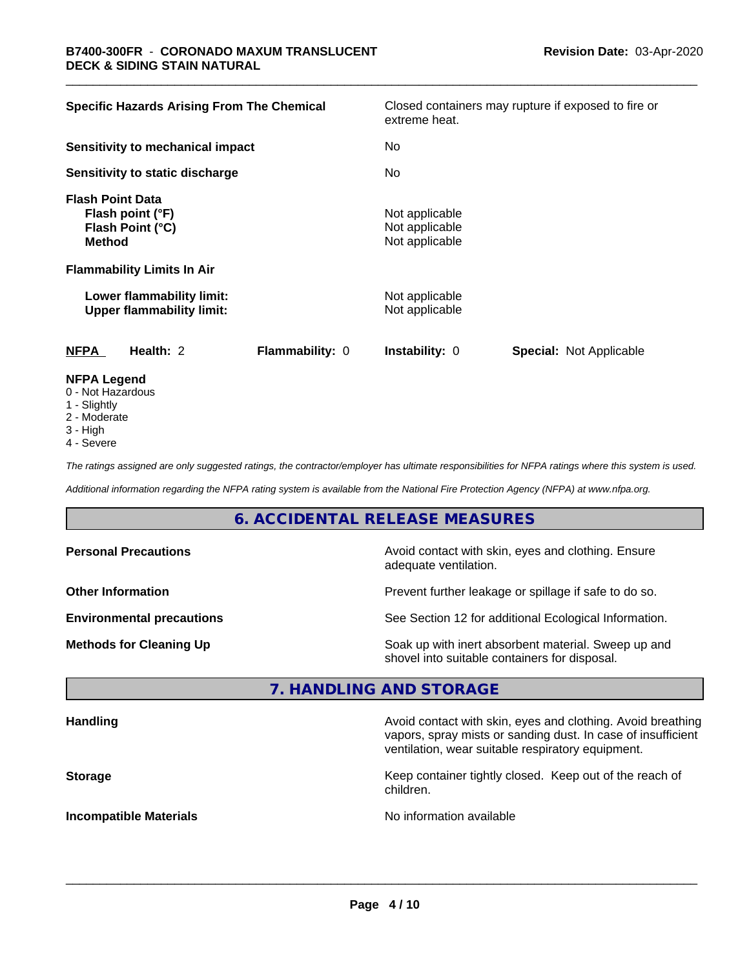| <b>Specific Hazards Arising From The Chemical</b>                                | Closed containers may rupture if exposed to fire or<br>extreme heat.       |  |
|----------------------------------------------------------------------------------|----------------------------------------------------------------------------|--|
| Sensitivity to mechanical impact                                                 | No                                                                         |  |
| Sensitivity to static discharge                                                  | No.                                                                        |  |
| <b>Flash Point Data</b><br>Flash point (°F)<br>Flash Point (°C)<br><b>Method</b> | Not applicable<br>Not applicable<br>Not applicable                         |  |
| <b>Flammability Limits In Air</b>                                                |                                                                            |  |
| Lower flammability limit:<br><b>Upper flammability limit:</b>                    | Not applicable<br>Not applicable                                           |  |
| Health: 2<br><b>NFPA</b>                                                         | Flammability: 0<br><b>Instability: 0</b><br><b>Special: Not Applicable</b> |  |
| <b>NFPA Legend</b><br>0 - Not Hazardous                                          |                                                                            |  |

- 0 Not Hazardous
- 1 Slightly
- 2 Moderate
- 3 High
- 4 Severe

*The ratings assigned are only suggested ratings, the contractor/employer has ultimate responsibilities for NFPA ratings where this system is used.*

*Additional information regarding the NFPA rating system is available from the National Fire Protection Agency (NFPA) at www.nfpa.org.*

# **6. ACCIDENTAL RELEASE MEASURES**

| <b>Personal Precautions</b>      | Avoid contact with skin, eyes and clothing. Ensure<br>adequate ventilation.                          |
|----------------------------------|------------------------------------------------------------------------------------------------------|
| <b>Other Information</b>         | Prevent further leakage or spillage if safe to do so.                                                |
| <b>Environmental precautions</b> | See Section 12 for additional Ecological Information.                                                |
| <b>Methods for Cleaning Up</b>   | Soak up with inert absorbent material. Sweep up and<br>shovel into suitable containers for disposal. |

# **7. HANDLING AND STORAGE**

| <b>Handling</b>               | Avoid contact with skin, eyes and clothing. Avoid breathing<br>vapors, spray mists or sanding dust. In case of insufficient<br>ventilation, wear suitable respiratory equipment. |
|-------------------------------|----------------------------------------------------------------------------------------------------------------------------------------------------------------------------------|
| <b>Storage</b>                | Keep container tightly closed. Keep out of the reach of<br>children.                                                                                                             |
| <b>Incompatible Materials</b> | No information available                                                                                                                                                         |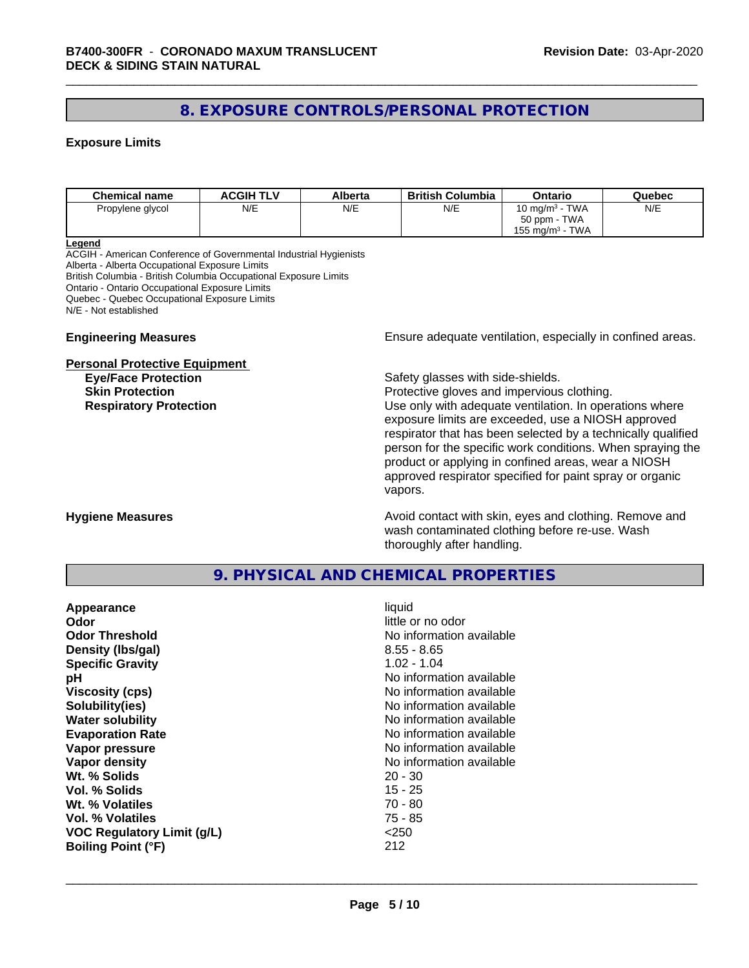# **8. EXPOSURE CONTROLS/PERSONAL PROTECTION**

#### **Exposure Limits**

| <b>Chemical name</b> | <b>ACGIH TLV</b> | Alberta | <b>British Columbia</b> | Ontario                        | Quebec |
|----------------------|------------------|---------|-------------------------|--------------------------------|--------|
| Propylene glycol     | N/E              | N/E     | N/E                     | 10 mg/m $3$ - TWA              | N/E    |
|                      |                  |         |                         | 50 ppm - TWA                   |        |
|                      |                  |         |                         | TWA<br>155 mg/m <sup>3</sup> - |        |

**Legend**

ACGIH - American Conference of Governmental Industrial Hygienists Alberta - Alberta Occupational Exposure Limits British Columbia - British Columbia Occupational Exposure Limits Ontario - Ontario Occupational Exposure Limits Quebec - Quebec Occupational Exposure Limits N/E - Not established

#### **Personal Protective Equipment**

**Engineering Measures Ensure** Ensure adequate ventilation, especially in confined areas.

**Eye/Face Protection Safety glasses with side-shields.** 

**Skin Protection Protection Protective gloves and impervious clothing. Respiratory Protection Exercise 2018** Use only with adequate ventilation. In operations where exposure limits are exceeded, use a NIOSH approved respirator that has been selected by a technically qualified person for the specific work conditions. When spraying the product or applying in confined areas, wear a NIOSH approved respirator specified for paint spray or organic vapors.

**Hygiene Measures Avoid contact with skin, eyes and clothing. Remove and Avoid contact with skin, eyes and clothing. Remove and Avoid contact with skin, eyes and clothing. Remove and** wash contaminated clothing before re-use. Wash thoroughly after handling.

# **9. PHYSICAL AND CHEMICAL PROPERTIES**

| Appearance                        | liquid                   |
|-----------------------------------|--------------------------|
| Odor                              | little or no odor        |
| <b>Odor Threshold</b>             | No information available |
| Density (Ibs/gal)                 | $8.55 - 8.65$            |
| <b>Specific Gravity</b>           | $1.02 - 1.04$            |
| рH                                | No information available |
| <b>Viscosity (cps)</b>            | No information available |
| Solubility(ies)                   | No information available |
| <b>Water solubility</b>           | No information available |
| <b>Evaporation Rate</b>           | No information available |
| Vapor pressure                    | No information available |
| Vapor density                     | No information available |
| Wt. % Solids                      | $20 - 30$                |
| Vol. % Solids                     | 15 - 25                  |
| Wt. % Volatiles                   | $70 - 80$                |
| Vol. % Volatiles                  | $75 - 85$                |
| <b>VOC Regulatory Limit (g/L)</b> | $<$ 250                  |
| <b>Boiling Point (°F)</b>         | 212                      |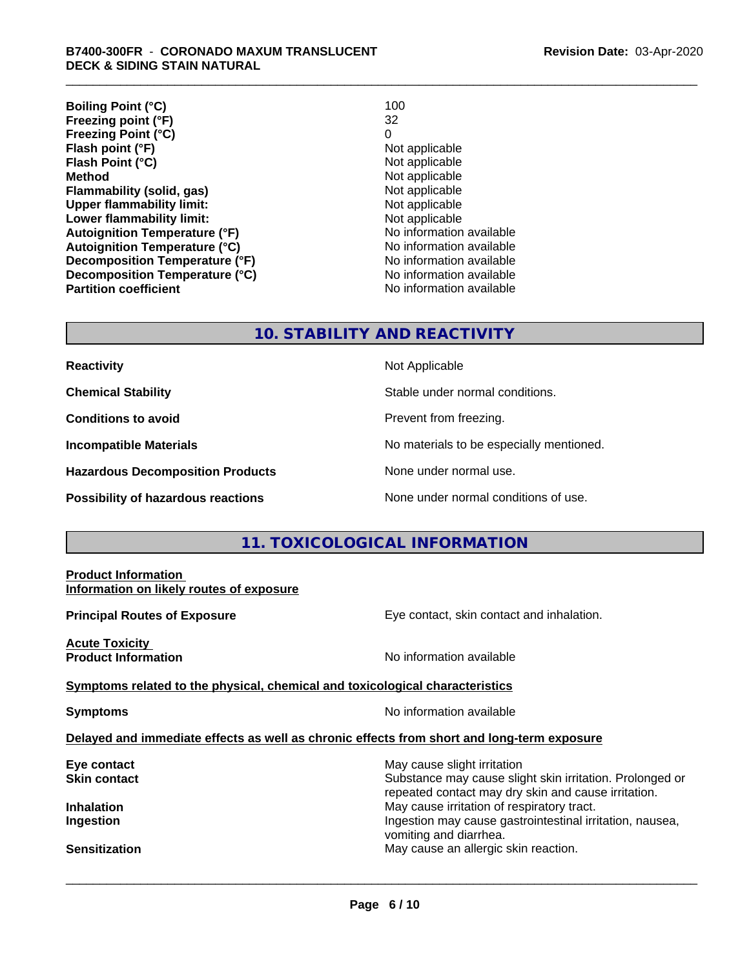| <b>Boiling Point (°C)</b>            | 100                      |
|--------------------------------------|--------------------------|
| Freezing point (°F)                  | 32                       |
| <b>Freezing Point (°C)</b>           | 0                        |
| Flash point (°F)                     | Not applicable           |
| Flash Point (°C)                     | Not applicable           |
| <b>Method</b>                        | Not applicable           |
| Flammability (solid, gas)            | Not applicable           |
| <b>Upper flammability limit:</b>     | Not applicable           |
| Lower flammability limit:            | Not applicable           |
| <b>Autoignition Temperature (°F)</b> | No information available |
| <b>Autoignition Temperature (°C)</b> | No information available |
| Decomposition Temperature (°F)       | No information available |
| Decomposition Temperature (°C)       | No information available |
| <b>Partition coefficient</b>         | No information available |

# **10. STABILITY AND REACTIVITY**

| <b>Reactivity</b> |
|-------------------|
|-------------------|

**Hazardous Decomposition Products** None under normal use.

**Not Applicable** 

**Chemical Stability Chemical Stability** Stable under normal conditions.

**Conditions to avoid Conditions reading**.

**Incompatible Materials No materials** No materials to be especially mentioned.

**Possibility of hazardous reactions** None under normal conditions of use.

# **11. TOXICOLOGICAL INFORMATION**

| <b>Product Information</b><br>Information on likely routes of exposure                     |                                                                                                                                                |  |
|--------------------------------------------------------------------------------------------|------------------------------------------------------------------------------------------------------------------------------------------------|--|
| <b>Principal Routes of Exposure</b>                                                        | Eye contact, skin contact and inhalation.                                                                                                      |  |
| <b>Acute Toxicity</b><br><b>Product Information</b>                                        | No information available                                                                                                                       |  |
| Symptoms related to the physical, chemical and toxicological characteristics               |                                                                                                                                                |  |
| <b>Symptoms</b>                                                                            | No information available                                                                                                                       |  |
| Delayed and immediate effects as well as chronic effects from short and long-term exposure |                                                                                                                                                |  |
| Eye contact<br>Skin contact                                                                | May cause slight irritation<br>Substance may cause slight skin irritation. Prolonged or<br>repeated contact may dry skin and cause irritation. |  |
| Inhalation<br>Ingestion                                                                    | May cause irritation of respiratory tract.<br>Ingestion may cause gastrointestinal irritation, nausea,<br>vomiting and diarrhea.               |  |
| <b>Sensitization</b>                                                                       | May cause an allergic skin reaction.                                                                                                           |  |
|                                                                                            |                                                                                                                                                |  |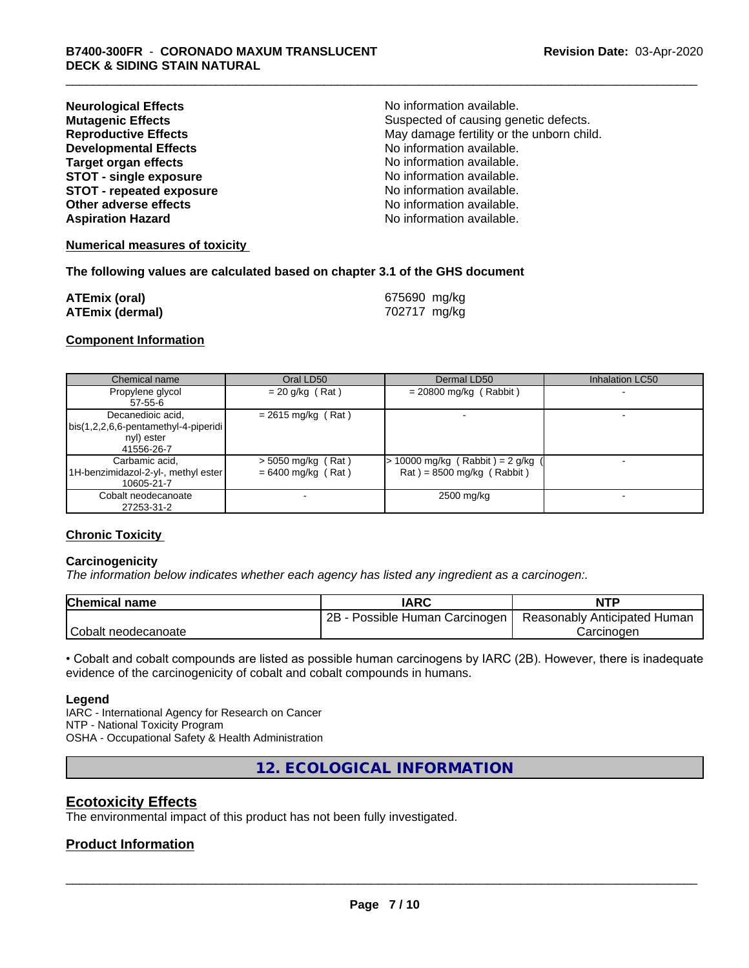| <b>Neurological Effects</b>     | No information available.                 |
|---------------------------------|-------------------------------------------|
| <b>Mutagenic Effects</b>        | Suspected of causing genetic defects.     |
| <b>Reproductive Effects</b>     | May damage fertility or the unborn child. |
| <b>Developmental Effects</b>    | No information available.                 |
| <b>Target organ effects</b>     | No information available.                 |
| <b>STOT - single exposure</b>   | No information available.                 |
| <b>STOT - repeated exposure</b> | No information available.                 |
| Other adverse effects           | No information available.                 |
| <b>Aspiration Hazard</b>        | No information available.                 |

#### **Numerical measures of toxicity**

#### **The following values are calculated based on chapter 3.1 of the GHS document**

| <b>ATEmix (oral)</b>   | 675690 mg/kg |
|------------------------|--------------|
| <b>ATEmix (dermal)</b> | 702717 mg/kg |

#### **Component Information**

| Chemical name                                                                           | Oral LD50                                    | Dermal LD50                                                        | Inhalation LC50 |
|-----------------------------------------------------------------------------------------|----------------------------------------------|--------------------------------------------------------------------|-----------------|
| Propylene glycol<br>57-55-6                                                             | $= 20$ g/kg (Rat)                            | $= 20800$ mg/kg (Rabbit)                                           |                 |
| Decanedioic acid,<br>  bis(1,2,2,6,6-pentamethyl-4-piperidi<br>nyl) ester<br>41556-26-7 | $= 2615$ mg/kg (Rat)                         |                                                                    |                 |
| Carbamic acid,<br>1H-benzimidazol-2-yl-, methyl ester  <br>10605-21-7                   | $>$ 5050 mg/kg (Rat)<br>$= 6400$ mg/kg (Rat) | $> 10000$ mg/kg (Rabbit) = 2 g/kg (<br>$Rat$ = 8500 mg/kg (Rabbit) |                 |
| Cobalt neodecanoate<br>27253-31-2                                                       |                                              | 2500 mg/kg                                                         |                 |

#### **Chronic Toxicity**

#### **Carcinogenicity**

*The information below indicateswhether each agency has listed any ingredient as a carcinogen:.*

| Chemical<br>name    | <b>IARC</b>                     | <b>NTP</b>                   |
|---------------------|---------------------------------|------------------------------|
|                     | 2B<br>Possible Human Carcinogen | Reasonably Anticipated Human |
| Cobalt neodecanoate |                                 | شarcinoαer                   |

• Cobalt and cobalt compounds are listed as possible human carcinogens by IARC (2B). However, there is inadequate evidence of the carcinogenicity of cobalt and cobalt compounds in humans.

#### **Legend**

IARC - International Agency for Research on Cancer NTP - National Toxicity Program OSHA - Occupational Safety & Health Administration

**12. ECOLOGICAL INFORMATION**

# **Ecotoxicity Effects**

The environmental impact of this product has not been fully investigated.

# **Product Information**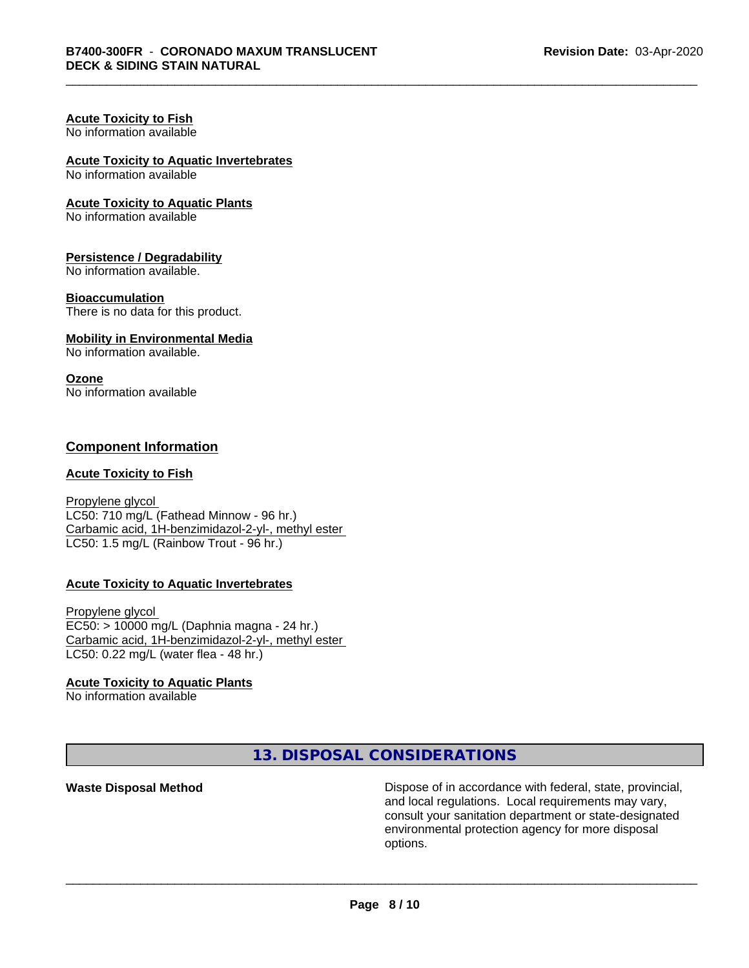#### **Acute Toxicity to Fish** No information available

# **Acute Toxicity to Aquatic Invertebrates**

No information available

#### **Acute Toxicity to Aquatic Plants**

No information available

#### **Persistence / Degradability**

No information available.

#### **Bioaccumulation**

There is no data for this product.

#### **Mobility in Environmental Media**

No information available.

#### **Ozone**

No information available

# **Component Information**

### **Acute Toxicity to Fish**

Propylene glycol LC50: 710 mg/L (Fathead Minnow - 96 hr.) Carbamic acid, 1H-benzimidazol-2-yl-, methyl ester LC50: 1.5 mg/L (Rainbow Trout - 96 hr.)

#### **Acute Toxicity to Aquatic Invertebrates**

Propylene glycol EC50: > 10000 mg/L (Daphnia magna - 24 hr.) Carbamic acid, 1H-benzimidazol-2-yl-, methyl ester LC50: 0.22 mg/L (water flea - 48 hr.)

#### **Acute Toxicity to Aquatic Plants**

No information available

**13. DISPOSAL CONSIDERATIONS**

**Waste Disposal Method Dispose of in accordance with federal, state, provincial,** and local regulations. Local requirements may vary, consult your sanitation department or state-designated environmental protection agency for more disposal options.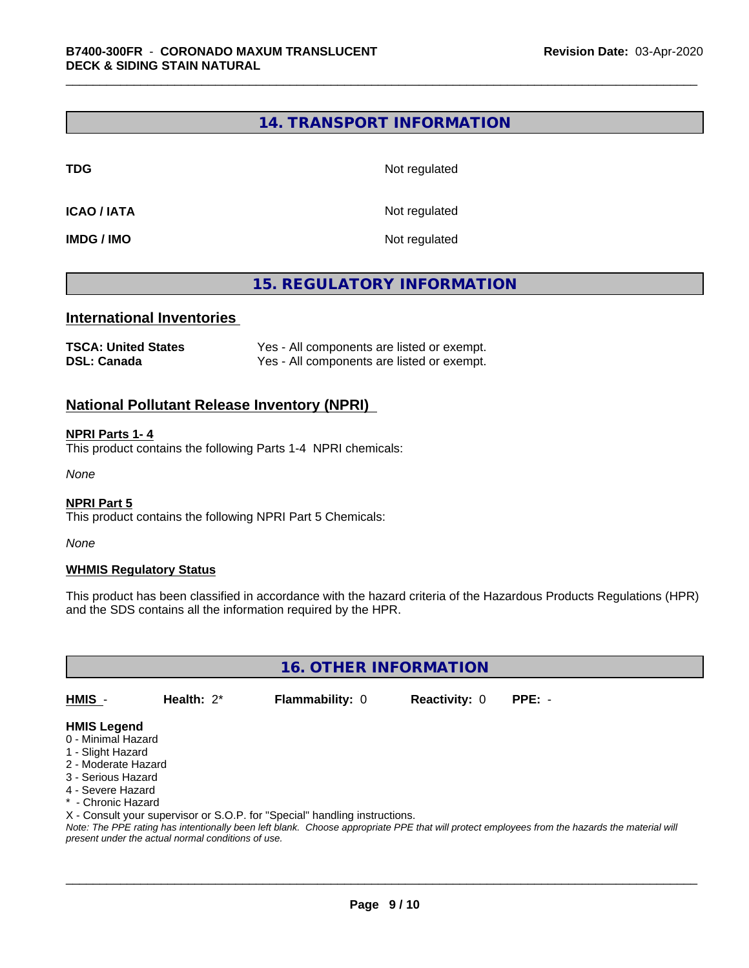# **14. TRANSPORT INFORMATION**

**TDG** Not regulated

**ICAO / IATA** Not regulated

**IMDG / IMO** Not regulated

# **15. REGULATORY INFORMATION**

### **International Inventories**

| <b>TSCA: United States</b> | Yes - All components are listed or exempt. |
|----------------------------|--------------------------------------------|
| <b>DSL: Canada</b>         | Yes - All components are listed or exempt. |

# **National Pollutant Release Inventory (NPRI)**

#### **NPRI Parts 1- 4**

This product contains the following Parts 1-4 NPRI chemicals:

*None*

#### **NPRI Part 5**

This product contains the following NPRI Part 5 Chemicals:

*None*

#### **WHMIS Regulatory Status**

This product has been classified in accordance with the hazard criteria of the Hazardous Products Regulations (HPR) and the SDS contains all the information required by the HPR.

**16. OTHER INFORMATION**

**HMIS** - **Health:** 2\* **Flammability:** 0 **Reactivity:** 0 **PPE:** -

# **HMIS Legend**

- 0 Minimal Hazard
- 1 Slight Hazard
- 2 Moderate Hazard
- 3 Serious Hazard
- 4 Severe Hazard
- \* Chronic Hazard
- X Consult your supervisor or S.O.P. for "Special" handling instructions.

*Note: The PPE rating has intentionally been left blank. Choose appropriate PPE that will protect employees from the hazards the material will present under the actual normal conditions of use.*